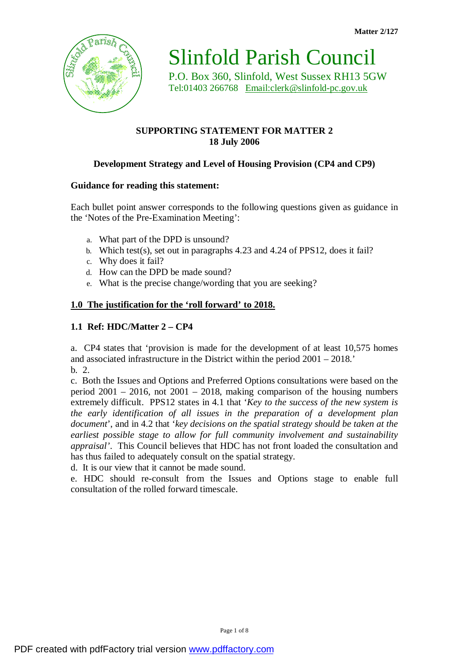

Slinfold Parish Council

P.O. Box 360, Slinfold, West Sussex RH13 5GW Tel:01403 266768 [Email:clerk@slinfold-pc.gov.uk](mailto:Email:clerk@slinfold-pc.gov.uk)

# **SUPPORTING STATEMENT FOR MATTER 2 18 July 2006**

# **Development Strategy and Level of Housing Provision (CP4 and CP9)**

## **Guidance for reading this statement:**

Each bullet point answer corresponds to the following questions given as guidance in the 'Notes of the Pre-Examination Meeting':

- a. What part of the DPD is unsound?
- b. Which test(s), set out in paragraphs 4.23 and 4.24 of PPS12, does it fail?
- c. Why does it fail?
- d. How can the DPD be made sound?
- e. What is the precise change/wording that you are seeking?

#### **1.0 The justification for the 'roll forward' to 2018.**

#### **1.1 Ref: HDC/Matter 2 – CP4**

a. CP4 states that 'provision is made for the development of at least 10,575 homes and associated infrastructure in the District within the period 2001 – 2018.' b. 2.

c. Both the Issues and Options and Preferred Options consultations were based on the period 2001 – 2016, not 2001 – 2018, making comparison of the housing numbers extremely difficult. PPS12 states in 4.1 that '*Key to the success of the new system is the early identification of all issues in the preparation of a development plan document*', and in 4.2 that '*key decisions on the spatial strategy should be taken at the earliest possible stage to allow for full community involvement and sustainability appraisal'*. This Council believes that HDC has not front loaded the consultation and has thus failed to adequately consult on the spatial strategy.

d. It is our view that it cannot be made sound.

e. HDC should re-consult from the Issues and Options stage to enable full consultation of the rolled forward timescale.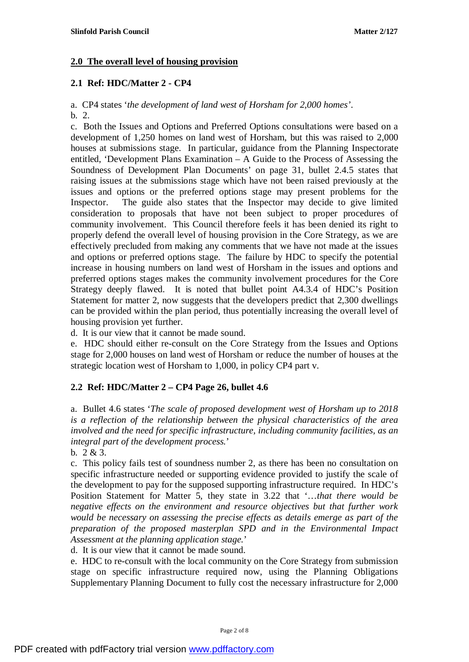### **2.0 The overall level of housing provision**

## **2.1 Ref: HDC/Matter 2 - CP4**

a. CP4 states '*the development of land west of Horsham for 2,000 homes'*. b. 2.

c. Both the Issues and Options and Preferred Options consultations were based on a development of 1,250 homes on land west of Horsham, but this was raised to 2,000 houses at submissions stage. In particular, guidance from the Planning Inspectorate entitled, 'Development Plans Examination – A Guide to the Process of Assessing the Soundness of Development Plan Documents' on page 31, bullet 2.4.5 states that raising issues at the submissions stage which have not been raised previously at the issues and options or the preferred options stage may present problems for the Inspector. The guide also states that the Inspector may decide to give limited consideration to proposals that have not been subject to proper procedures of community involvement. This Council therefore feels it has been denied its right to properly defend the overall level of housing provision in the Core Strategy, as we are effectively precluded from making any comments that we have not made at the issues and options or preferred options stage. The failure by HDC to specify the potential increase in housing numbers on land west of Horsham in the issues and options and preferred options stages makes the community involvement procedures for the Core Strategy deeply flawed. It is noted that bullet point A4.3.4 of HDC's Position Statement for matter 2, now suggests that the developers predict that 2,300 dwellings can be provided within the plan period, thus potentially increasing the overall level of housing provision yet further.

d. It is our view that it cannot be made sound.

e. HDC should either re-consult on the Core Strategy from the Issues and Options stage for 2,000 houses on land west of Horsham or reduce the number of houses at the strategic location west of Horsham to 1,000, in policy CP4 part v.

## **2.2 Ref: HDC/Matter 2 – CP4 Page 26, bullet 4.6**

a. Bullet 4.6 states '*The scale of proposed development west of Horsham up to 2018 is a reflection of the relationship between the physical characteristics of the area involved and the need for specific infrastructure, including community facilities, as an integral part of the development process.*'

b. 2 & 3.

c. This policy fails test of soundness number 2, as there has been no consultation on specific infrastructure needed or supporting evidence provided to justify the scale of the development to pay for the supposed supporting infrastructure required. In HDC's Position Statement for Matter 5, they state in 3.22 that '…*that there would be negative effects on the environment and resource objectives but that further work would be necessary on assessing the precise effects as details emerge as part of the preparation of the proposed masterplan SPD and in the Environmental Impact Assessment at the planning application stage.*'

d. It is our view that it cannot be made sound.

e. HDC to re-consult with the local community on the Core Strategy from submission stage on specific infrastructure required now, using the Planning Obligations Supplementary Planning Document to fully cost the necessary infrastructure for 2,000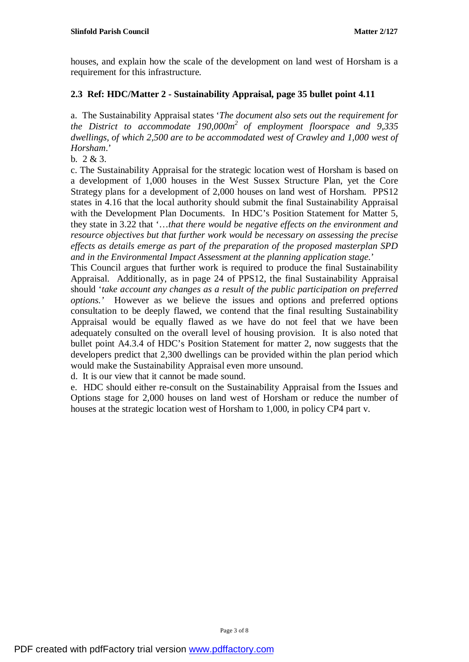houses, and explain how the scale of the development on land west of Horsham is a requirement for this infrastructure.

## **2.3 Ref: HDC/Matter 2 - Sustainability Appraisal, page 35 bullet point 4.11**

a. The Sustainability Appraisal states '*The document also sets out the requirement for the District to accommodate 190,000m<sup>2</sup> of employment floorspace and 9,335 dwellings, of which 2,500 are to be accommodated west of Crawley and 1,000 west of Horsham*.'

b. 2 & 3.

c. The Sustainability Appraisal for the strategic location west of Horsham is based on a development of 1,000 houses in the West Sussex Structure Plan, yet the Core Strategy plans for a development of 2,000 houses on land west of Horsham. PPS12 states in 4.16 that the local authority should submit the final Sustainability Appraisal with the Development Plan Documents. In HDC's Position Statement for Matter 5, they state in 3.22 that '…*that there would be negative effects on the environment and resource objectives but that further work would be necessary on assessing the precise effects as details emerge as part of the preparation of the proposed masterplan SPD and in the Environmental Impact Assessment at the planning application stage.*'

This Council argues that further work is required to produce the final Sustainability Appraisal. Additionally, as in page 24 of PPS12, the final Sustainability Appraisal should '*take account any changes as a result of the public participation on preferred options.'* However as we believe the issues and options and preferred options consultation to be deeply flawed, we contend that the final resulting Sustainability Appraisal would be equally flawed as we have do not feel that we have been adequately consulted on the overall level of housing provision. It is also noted that bullet point A4.3.4 of HDC's Position Statement for matter 2, now suggests that the developers predict that 2,300 dwellings can be provided within the plan period which would make the Sustainability Appraisal even more unsound.

d. It is our view that it cannot be made sound.

e. HDC should either re-consult on the Sustainability Appraisal from the Issues and Options stage for 2,000 houses on land west of Horsham or reduce the number of houses at the strategic location west of Horsham to 1,000, in policy CP4 part v.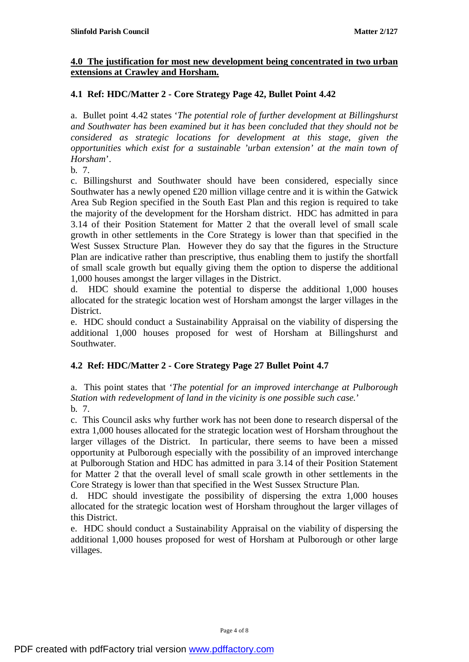### **4.0 The justification for most new development being concentrated in two urban extensions at Crawley and Horsham.**

## **4.1 Ref: HDC/Matter 2 - Core Strategy Page 42, Bullet Point 4.42**

a. Bullet point 4.42 states '*The potential role of further development at Billingshurst and Southwater has been examined but it has been concluded that they should not be considered as strategic locations for development at this stage, given the opportunities which exist for a sustainable 'urban extension' at the main town of Horsham*'.

b. 7.

c. Billingshurst and Southwater should have been considered, especially since Southwater has a newly opened £20 million village centre and it is within the Gatwick Area Sub Region specified in the South East Plan and this region is required to take the majority of the development for the Horsham district. HDC has admitted in para 3.14 of their Position Statement for Matter 2 that the overall level of small scale growth in other settlements in the Core Strategy is lower than that specified in the West Sussex Structure Plan. However they do say that the figures in the Structure Plan are indicative rather than prescriptive, thus enabling them to justify the shortfall of small scale growth but equally giving them the option to disperse the additional 1,000 houses amongst the larger villages in the District.

d. HDC should examine the potential to disperse the additional 1,000 houses allocated for the strategic location west of Horsham amongst the larger villages in the District.

e. HDC should conduct a Sustainability Appraisal on the viability of dispersing the additional 1,000 houses proposed for west of Horsham at Billingshurst and Southwater.

# **4.2 Ref: HDC/Matter 2 - Core Strategy Page 27 Bullet Point 4.7**

a. This point states that '*The potential for an improved interchange at Pulborough Station with redevelopment of land in the vicinity is one possible such case.*' b. 7.

c. This Council asks why further work has not been done to research dispersal of the extra 1,000 houses allocated for the strategic location west of Horsham throughout the larger villages of the District. In particular, there seems to have been a missed opportunity at Pulborough especially with the possibility of an improved interchange at Pulborough Station and HDC has admitted in para 3.14 of their Position Statement for Matter 2 that the overall level of small scale growth in other settlements in the Core Strategy is lower than that specified in the West Sussex Structure Plan.

d. HDC should investigate the possibility of dispersing the extra 1,000 houses allocated for the strategic location west of Horsham throughout the larger villages of this District.

e. HDC should conduct a Sustainability Appraisal on the viability of dispersing the additional 1,000 houses proposed for west of Horsham at Pulborough or other large villages.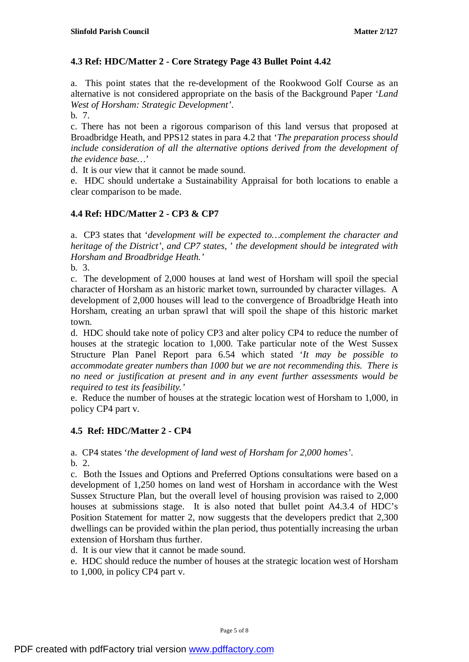## **4.3 Ref: HDC/Matter 2 - Core Strategy Page 43 Bullet Point 4.42**

a. This point states that the re-development of the Rookwood Golf Course as an alternative is not considered appropriate on the basis of the Background Paper '*Land West of Horsham: Strategic Development'*.

b. 7.

c. There has not been a rigorous comparison of this land versus that proposed at Broadbridge Heath, and PPS12 states in para 4.2 that '*The preparation process should include consideration of all the alternative options derived from the development of the evidence base…*'

d. It is our view that it cannot be made sound.

e. HDC should undertake a Sustainability Appraisal for both locations to enable a clear comparison to be made.

#### **4.4 Ref: HDC/Matter 2 - CP3 & CP7**

a. CP3 states that '*development will be expected to…complement the character and heritage of the District', and CP7 states,* ' *the development should be integrated with Horsham and Broadbridge Heath.'* 

b. 3.

c. The development of 2,000 houses at land west of Horsham will spoil the special character of Horsham as an historic market town, surrounded by character villages. A development of 2,000 houses will lead to the convergence of Broadbridge Heath into Horsham, creating an urban sprawl that will spoil the shape of this historic market town.

d. HDC should take note of policy CP3 and alter policy CP4 to reduce the number of houses at the strategic location to 1,000. Take particular note of the West Sussex Structure Plan Panel Report para 6.54 which stated '*It may be possible to accommodate greater numbers than 1000 but we are not recommending this. There is no need or justification at present and in any event further assessments would be required to test its feasibility.'* 

e. Reduce the number of houses at the strategic location west of Horsham to 1,000, in policy CP4 part v.

## **4.5 Ref: HDC/Matter 2 - CP4**

a. CP4 states '*the development of land west of Horsham for 2,000 homes'*.

b. 2.

c. Both the Issues and Options and Preferred Options consultations were based on a development of 1,250 homes on land west of Horsham in accordance with the West Sussex Structure Plan, but the overall level of housing provision was raised to 2,000 houses at submissions stage. It is also noted that bullet point A4.3.4 of HDC's Position Statement for matter 2, now suggests that the developers predict that 2,300 dwellings can be provided within the plan period, thus potentially increasing the urban extension of Horsham thus further.

d. It is our view that it cannot be made sound.

e. HDC should reduce the number of houses at the strategic location west of Horsham to 1,000, in policy CP4 part v.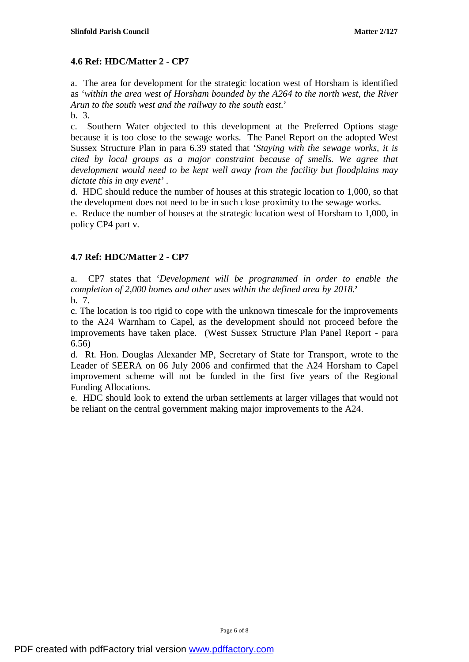## **4.6 Ref: HDC/Matter 2 - CP7**

a. The area for development for the strategic location west of Horsham is identified as *'within the area west of Horsham bounded by the A264 to the north west, the River Arun to the south west and the railway to the south east*.'

b. 3.

c. Southern Water objected to this development at the Preferred Options stage because it is too close to the sewage works. The Panel Report on the adopted West Sussex Structure Plan in para 6.39 stated that '*Staying with the sewage works, it is cited by local groups as a major constraint because of smells. We agree that development would need to be kept well away from the facility but floodplains may dictate this in any event'* .

d. HDC should reduce the number of houses at this strategic location to 1,000, so that the development does not need to be in such close proximity to the sewage works.

e. Reduce the number of houses at the strategic location west of Horsham to 1,000, in policy CP4 part v.

# **4.7 Ref: HDC/Matter 2 - CP7**

a. CP7 states that '*Development will be programmed in order to enable the completion of 2,000 homes and other uses within the defined area by 2018.***'**  b. 7.

c. The location is too rigid to cope with the unknown timescale for the improvements to the A24 Warnham to Capel, as the development should not proceed before the improvements have taken place. (West Sussex Structure Plan Panel Report - para 6.56)

d. Rt. Hon. Douglas Alexander MP, Secretary of State for Transport, wrote to the Leader of SEERA on 06 July 2006 and confirmed that the A24 Horsham to Capel improvement scheme will not be funded in the first five years of the Regional Funding Allocations.

e. HDC should look to extend the urban settlements at larger villages that would not be reliant on the central government making major improvements to the A24.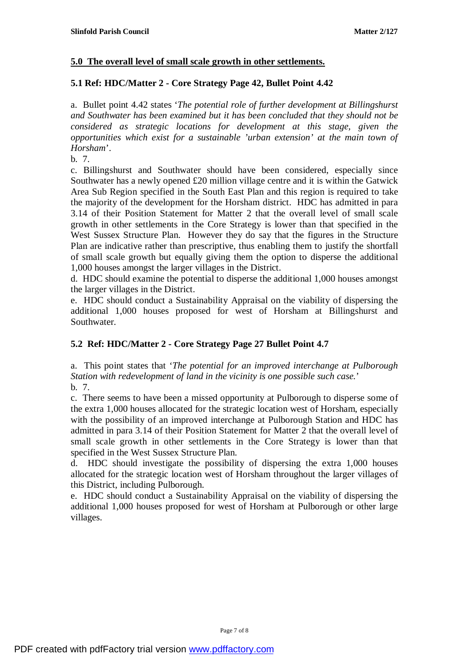#### **5.0 The overall level of small scale growth in other settlements.**

### **5.1 Ref: HDC/Matter 2 - Core Strategy Page 42, Bullet Point 4.42**

a. Bullet point 4.42 states '*The potential role of further development at Billingshurst and Southwater has been examined but it has been concluded that they should not be considered as strategic locations for development at this stage, given the opportunities which exist for a sustainable 'urban extension' at the main town of Horsham*'.

b. 7.

c. Billingshurst and Southwater should have been considered, especially since Southwater has a newly opened £20 million village centre and it is within the Gatwick Area Sub Region specified in the South East Plan and this region is required to take the majority of the development for the Horsham district. HDC has admitted in para 3.14 of their Position Statement for Matter 2 that the overall level of small scale growth in other settlements in the Core Strategy is lower than that specified in the West Sussex Structure Plan. However they do say that the figures in the Structure Plan are indicative rather than prescriptive, thus enabling them to justify the shortfall of small scale growth but equally giving them the option to disperse the additional 1,000 houses amongst the larger villages in the District.

d. HDC should examine the potential to disperse the additional 1,000 houses amongst the larger villages in the District.

e. HDC should conduct a Sustainability Appraisal on the viability of dispersing the additional 1,000 houses proposed for west of Horsham at Billingshurst and Southwater.

## **5.2 Ref: HDC/Matter 2 - Core Strategy Page 27 Bullet Point 4.7**

a. This point states that '*The potential for an improved interchange at Pulborough Station with redevelopment of land in the vicinity is one possible such case.*' b. 7.

c. There seems to have been a missed opportunity at Pulborough to disperse some of the extra 1,000 houses allocated for the strategic location west of Horsham, especially with the possibility of an improved interchange at Pulborough Station and HDC has admitted in para 3.14 of their Position Statement for Matter 2 that the overall level of small scale growth in other settlements in the Core Strategy is lower than that specified in the West Sussex Structure Plan.

d. HDC should investigate the possibility of dispersing the extra 1,000 houses allocated for the strategic location west of Horsham throughout the larger villages of this District, including Pulborough.

e. HDC should conduct a Sustainability Appraisal on the viability of dispersing the additional 1,000 houses proposed for west of Horsham at Pulborough or other large villages.